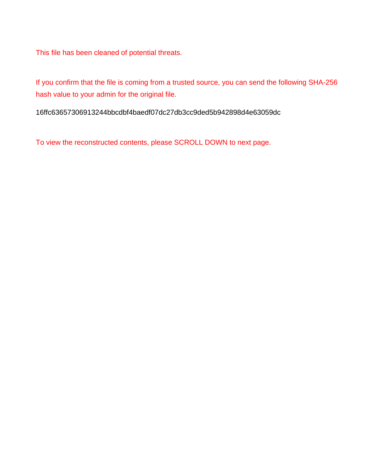This file has been cleaned of potential threats.

If you confirm that the file is coming from a trusted source, you can send the following SHA-256 hash value to your admin for the original file.

16ffc63657306913244bbcdbf4baedf07dc27db3cc9ded5b942898d4e63059dc

To view the reconstructed contents, please SCROLL DOWN to next page.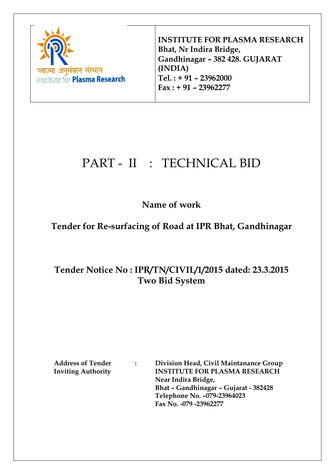

**INSTITUTE FOR PLASMA RESEARCH Bhat, Nr Indira Bridge, Gandhinagar – 382 428. GUJARAT (INDIA) Tel. : + 91 – 23962000 Fax : + 91 – 23962277**

# PART - II : TECHNICAL BID

# **Name of work**

# **Tender for Re-surfacing of Road at IPR Bhat, Gandhinagar**

# **Tender Notice No : IPR/TN/CIVIL/1/2015 dated: 23.3.2015 Two Bid System**

**Address of Tender : Division Head, Civil Maintanance Group Inviting Authority INSTITUTE FOR PLASMA RESEARCH Near Indira Bridge, Bhat – Gandhinagar – Gujarat - 382428 Telephone No. –079-23964023 Fax No. -079 -23962277**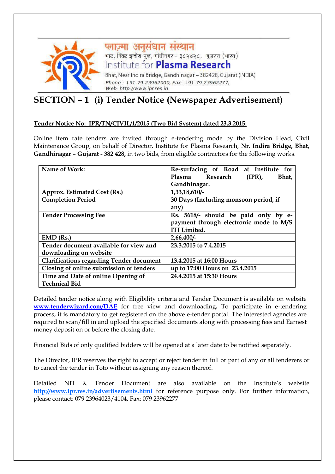

**प्लाज़्मा अनुसंधान संस्थान**<br>भाट, निक्ट इन्वीरा पुल, गांबीनगर - ३८२४२८, गुजरात (भारत) Institute for **Plasma Research** Bhat, Near Indira Bridge, Gandhinagar - 382428, Gujarat (INDIA) Phone: +91-79-23962000, Fax: +91-79-23962277, Web: http://www.ipr.res.in

# **SECTION – 1 (i) Tender Notice (Newspaper Advertisement)**

#### **Tender Notice No: IPR/TN/CIVIL/1/2015 (Two Bid System) dated 23.3.2015:**

Online item rate tenders are invited through e-tendering mode by the Division Head, Civil Maintenance Group, on behalf of Director, Institute for Plasma Research, **Nr. Indira Bridge, Bhat, Gandhinagar – Gujarat - 382 428,** in two bids, from eligible contractors for the following works.

| Name of Work:                                   | Re-surfacing of Road at Institute for  |  |  |  |  |
|-------------------------------------------------|----------------------------------------|--|--|--|--|
|                                                 | Plasma Research<br>$(IPR)$ ,<br>Bhat,  |  |  |  |  |
|                                                 | Gandhinagar.                           |  |  |  |  |
| Approx. Estimated Cost (Rs.)                    | 1,33,18,610/-                          |  |  |  |  |
| <b>Completion Period</b>                        | 30 Days (Including monsoon period, if  |  |  |  |  |
|                                                 | any)                                   |  |  |  |  |
| <b>Tender Processing Fee</b>                    | Rs. 5618/- should be paid only by e-   |  |  |  |  |
|                                                 | payment through electronic mode to M/S |  |  |  |  |
|                                                 | <b>ITI</b> Limited.                    |  |  |  |  |
| $EMD$ (Rs.)                                     | 2,66,400/                              |  |  |  |  |
| Tender document available for view and          | 23.3.2015 to 7.4.2015                  |  |  |  |  |
| downloading on website                          |                                        |  |  |  |  |
| <b>Clarifications regarding Tender document</b> | 13.4.2015 at 16:00 Hours               |  |  |  |  |
| Closing of online submission of tenders         | up to 17:00 Hours on 23.4.2015         |  |  |  |  |
| Time and Date of online Opening of              | 24.4.2015 at 15:30 Hours               |  |  |  |  |
| <b>Technical Bid</b>                            |                                        |  |  |  |  |

Detailed tender notice along with Eligibility criteria and Tender Document is available on website **www.tenderwizard.com/DAE** for free view and downloading**.** To participate in e-tendering process, it is mandatory to get registered on the above e-tender portal. The interested agencies are required to scan/fill in and upload the specified documents along with processing fees and Earnest money deposit on or before the closing date.

Financial Bids of only qualified bidders will be opened at a later date to be notified separately.

The Director, IPR reserves the right to accept or reject tender in full or part of any or all tenderers or to cancel the tender in Toto without assigning any reason thereof.

Detailed NIT & Tender Document are also available on the Institute's website **http://www.ipr.res.in/advertisements.html** for reference purpose only. For further information, please contact: 079 23964023/4104, Fax: 079 23962277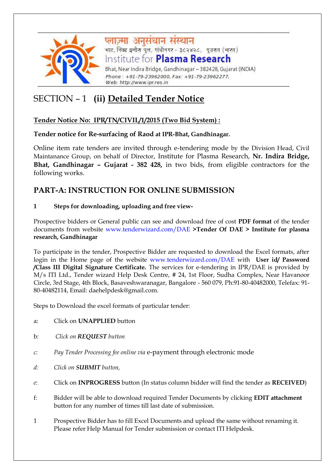

प्लाज़्मा अनुसंधान संस्थान .<br>भाट, निक्ट इन्वीरा पुल, गांधीनगर - ३८२४२८, गुजरात (भारत) Institute for **Plasma Research** Bhat, Near Indira Bridge, Gandhinagar - 382428, Gujarat (INDIA) Phone: +91-79-23962000, Fax: +91-79-23962277,

# SECTION – 1 **(ii) Detailed Tender Notice**

### **Tender Notice No: IPR/TN/CIVIL/1/2015 (Two Bid System) :**

#### **Tender notice for Re-surfacing of Raod at IPR-Bhat, Gandhinagar.**

Web: http://www.ipr.res.in

Online item rate tenders are invited through e-tendering mode by the Division Head, Civil Maintanance Group, on behalf of Director, Institute for Plasma Research, **Nr. Indira Bridge, Bhat, Gandhinagar – Gujarat - 382 428,** in two bids, from eligible contractors for the following works.

### **PART-A: INSTRUCTION FOR ONLINE SUBMISSION**

#### **1 Steps for downloading, uploading and free view-**

Prospective bidders or General public can see and download free of cost **PDF format** of the tender documents from website www.tenderwizard.com/DAE **>Tender Of DAE > Institute for plasma research, Gandhinagar**

To participate in the tender, Prospective Bidder are requested to download the Excel formats, after login in the Home page of the website www.tenderwizard.com/DAE with **User id/ Password /Class III Digital Signature Certificate.** The services for e-tendering in IPR/DAE is provided by M/s ITI Ltd., Tender wizard Help Desk Centre, # 24, 1st Floor, Sudha Complex, Near Havanoor Circle, 3rd Stage, 4th Block, Basaveshwaranagar, Bangalore - 560 079, Ph:91-80-40482000, Telefax: 91- 80-40482114, Email: daehelpdesk@gmail.com.

Steps to Download the excel formats of particular tender:

- a: Click on **UNAPPLIED** button
- b*: Click on REQUEST button*
- *c: Pay Tender Processing fee online via* e-payment through electronic mode
- *d: Click on SUBMIT button,*
- *e*: Click on **INPROGRESS** button (In status column bidder will find the tender as **RECEIVED**)
- f: Bidder will be able to download required Tender Documents by clicking **EDIT attachment**  button for any number of times till last date of submission.
- 1 Prospective Bidder has to fill Excel Documents and upload the same without renaming it. Please refer Help Manual for Tender submission or contact ITI Helpdesk.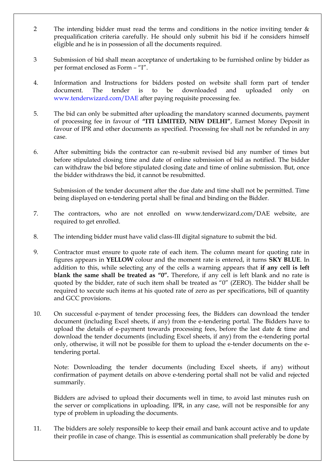- 2 The intending bidder must read the terms and conditions in the notice inviting tender & prequalification criteria carefully. He should only submit his bid if he considers himself eligible and he is in possession of all the documents required.
- 3 Submission of bid shall mean acceptance of undertaking to be furnished online by bidder as per format enclosed as Form – "I".
- 4. Information and Instructions for bidders posted on website shall form part of tender document. The tender is to be downloaded and uploaded only on www.tenderwizard.com/DAE after paying requisite processing fee.
- 5. The bid can only be submitted after uploading the mandatory scanned documents, payment of processing fee in favour of **"ITI LIMITED, NEW DELHI"**, Earnest Money Deposit in favour of IPR and other documents as specified. Processing fee shall not be refunded in any case.
- 6. After submitting bids the contractor can re-submit revised bid any number of times but before stipulated closing time and date of online submission of bid as notified. The bidder can withdraw the bid before stipulated closing date and time of online submission. But, once the bidder withdraws the bid, it cannot be resubmitted.

Submission of the tender document after the due date and time shall not be permitted. Time being displayed on e-tendering portal shall be final and binding on the Bidder.

- 7. The contractors, who are not enrolled on www.tenderwizard.com/DAE website, are required to get enrolled.
- 8. The intending bidder must have valid class-III digital signature to submit the bid.
- 9. Contractor must ensure to quote rate of each item. The column meant for quoting rate in figures appears in **YELLOW** colour and the moment rate is entered, it turns **SKY BLUE**. In addition to this, while selecting any of the cells a warning appears that **if any cell is left blank the same shall be treated as "0".** Therefore, if any cell is left blank and no rate is quoted by the bidder, rate of such item shall be treated as "0" (ZERO). The bidder shall be required to xecute such items at his quoted rate of zero as per specifications, bill of quantity and GCC provisions.
- 10. On successful e-payment of tender processing fees, the Bidders can download the tender document (including Excel sheets, if any) from the e-tendering portal. The Bidders have to upload the details of e-payment towards processing fees, before the last date & time and download the tender documents (including Excel sheets, if any) from the e-tendering portal only, otherwise, it will not be possible for them to upload the e-tender documents on the etendering portal.

Note: Downloading the tender documents (including Excel sheets, if any) without confirmation of payment details on above e-tendering portal shall not be valid and rejected summarily.

Bidders are advised to upload their documents well in time, to avoid last minutes rush on the server or complications in uploading. IPR, in any case, will not be responsible for any type of problem in uploading the documents.

11. The bidders are solely responsible to keep their email and bank account active and to update their profile in case of change. This is essential as communication shall preferably be done by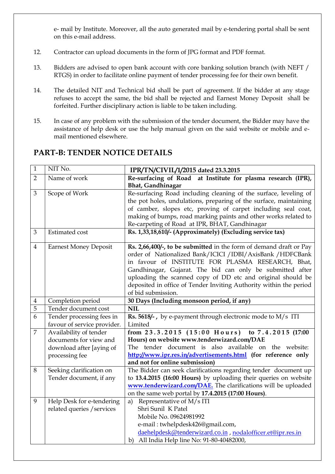e- mail by Institute. Moreover, all the auto generated mail by e-tendering portal shall be sent on this e-mail address.

- 12. Contractor can upload documents in the form of JPG format and PDF format.
- 13. Bidders are advised to open bank account with core banking solution branch (with NEFT / RTGS) in order to facilitate online payment of tender processing fee for their own benefit.
- 14. The detailed NIT and Technical bid shall be part of agreement. If the bidder at any stage refuses to accept the same, the bid shall be rejected and Earnest Money Deposit shall be forfeited. Further disciplinary action is liable to be taken including.
- 15. In case of any problem with the submission of the tender document, the Bidder may have the assistance of help desk or use the help manual given on the said website or mobile and email mentioned elsewhere.

| $\mathbf{1}$   | NIT No.                      | IPR/TN/CIVIL/1/2015 dated 23.3.2015                                                                      |
|----------------|------------------------------|----------------------------------------------------------------------------------------------------------|
| $\overline{2}$ | Name of work                 | Re-surfacing of Road at Institute for plasma research (IPR),                                             |
|                |                              | Bhat, Gandhinagar                                                                                        |
| 3              | Scope of Work                | Re-surfacing Road including cleaning of the surface, leveling of                                         |
|                |                              | the pot holes, undulations, preparing of the surface, maintaining                                        |
|                |                              | of camber, slopes etc, proving of carpet including seal coat,                                            |
|                |                              | making of bumps, road marking paints and other works related to                                          |
|                |                              | Re-carpeting of Road at IPR, BHAT, Gandhinagar                                                           |
| 3              | <b>Estimated</b> cost        | Rs. 1,33,18,610/- (Approximately) (Excluding service tax)                                                |
| $\overline{4}$ | <b>Earnest Money Deposit</b> | Rs. 2,66,400/-, to be submitted in the form of demand draft or Pay                                       |
|                |                              | order of Nationalized Bank/ICICI /IDBI/AxisBank /HDFCBank                                                |
|                |                              | in favour of INSTITUTE FOR PLASMA RESEARCH, Bhat,                                                        |
|                |                              | Gandhinagar, Gujarat. The bid can only be submitted after                                                |
|                |                              | uploading the scanned copy of DD etc and original should be                                              |
|                |                              | deposited in office of Tender Inviting Authority within the period                                       |
|                |                              | of bid submission.                                                                                       |
| $\overline{4}$ | Completion period            | 30 Days (Including monsoon period, if any)                                                               |
|                |                              |                                                                                                          |
| $\overline{5}$ | Tender document cost         | <b>NIL</b>                                                                                               |
| 6              | Tender processing fees in    | Rs. 5618/-, by e-payment through electronic mode to M/s ITI                                              |
|                | favour of service provider.  | Limited                                                                                                  |
| $\overline{7}$ | Availability of tender       | from $23.3.2015$ $(15:00$ Hours)<br>to 7.4.2015 (17:00                                                   |
|                | documents for view and       | Hours) on website www.tenderwizard.com/DAE                                                               |
|                | download after [aying of     | The tender document is also available on the website:                                                    |
|                | processing fee               | http://www.ipr.res.in/advertisements.html (for reference only                                            |
|                |                              | and not for online submission)                                                                           |
| 8              | Seeking clarification on     | The Bidder can seek clarifications regarding tender document up                                          |
|                | Tender document, if any      | to 13.4.2015 (16:00 Hours) by uploading their queries on website                                         |
|                |                              | www.tenderwizard.com/DAE. The clarifications will be uploaded                                            |
|                |                              | on the same web portal by 17.4.2015 (17:00 Hours).                                                       |
| 9              | Help Desk for e-tendering    | Representative of M/s ITI<br>a)                                                                          |
|                | related queries / services   | Shri Sunil K Patel                                                                                       |
|                |                              | Mobile No. 09624981992                                                                                   |
|                |                              | e-mail: twhelpdesk426@gmail.com,                                                                         |
|                |                              | daehelpdesk@tenderwizard.co.in, nodalofficer.et@ipr.res.in<br>b) All India Help line No: 91-80-40482000, |

#### **PART-B: TENDER NOTICE DETAILS**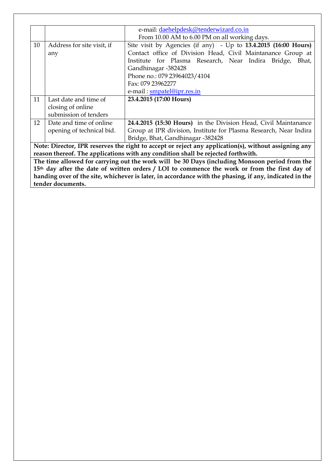|                                                                                                        |                                                                                               | e-mail: daehelpdesk@tenderwizard.co.in                                                               |  |  |
|--------------------------------------------------------------------------------------------------------|-----------------------------------------------------------------------------------------------|------------------------------------------------------------------------------------------------------|--|--|
|                                                                                                        |                                                                                               | From 10.00 AM to 6.00 PM on all working days.                                                        |  |  |
| 10                                                                                                     | Address for site visit, if                                                                    | Site visit by Agencies (if any) - Up to 13.4.2015 (16:00 Hours)                                      |  |  |
|                                                                                                        | any                                                                                           | Contact office of Division Head, Civil Maintanance Group at                                          |  |  |
|                                                                                                        |                                                                                               | Institute for Plasma Research, Near Indira Bridge, Bhat,                                             |  |  |
|                                                                                                        |                                                                                               | Gandhinagar -382428                                                                                  |  |  |
|                                                                                                        |                                                                                               | Phone no.: 079 23964023/4104                                                                         |  |  |
|                                                                                                        |                                                                                               | Fax: 079 23962277                                                                                    |  |  |
|                                                                                                        |                                                                                               | e-mail: smpatel@ipr.res.in                                                                           |  |  |
| 11                                                                                                     | Last date and time of                                                                         | 23.4.2015 (17:00 Hours)                                                                              |  |  |
|                                                                                                        | closing of online                                                                             |                                                                                                      |  |  |
|                                                                                                        | submission of tenders                                                                         |                                                                                                      |  |  |
| 12                                                                                                     | Date and time of online                                                                       | 24.4.2015 (15:30 Hours) in the Division Head, Civil Maintanance                                      |  |  |
|                                                                                                        | opening of technical bid.                                                                     | Group at IPR division, Institute for Plasma Research, Near Indira                                    |  |  |
|                                                                                                        |                                                                                               | Bridge, Bhat, Gandhinagar -382428                                                                    |  |  |
|                                                                                                        |                                                                                               | Note: Director, IPR reserves the right to accept or reject any application(s), without assigning any |  |  |
|                                                                                                        |                                                                                               | reason thereof. The applications with any condition shall be rejected forthwith.                     |  |  |
|                                                                                                        | The time allowed for carrying out the work will be 30 Days (including Monsoon period from the |                                                                                                      |  |  |
| 15th day after the date of written orders / LOI to commence the work or from the first day of          |                                                                                               |                                                                                                      |  |  |
| handing over of the site, whichever is later, in accordance with the phasing, if any, indicated in the |                                                                                               |                                                                                                      |  |  |
|                                                                                                        | tender documents.                                                                             |                                                                                                      |  |  |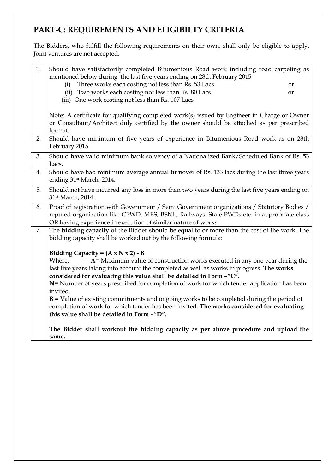## **PART-C: REQUIREMENTS AND ELIGIBILTY CRITERIA**

The Bidders, who fulfill the following requirements on their own, shall only be eligible to apply. Joint ventures are not accepted.

| 1. | Should have satisfactorily completed Bitumenious Road work including road carpeting as        |  |
|----|-----------------------------------------------------------------------------------------------|--|
|    | mentioned below during the last five years ending on 28th February 2015                       |  |
|    | Three works each costing not less than Rs. 53 Lacs<br>(i)<br><b>or</b>                        |  |
|    | (ii) Two works each costing not less than Rs. 80 Lacs<br><b>or</b>                            |  |
|    | (iii) One work costing not less than Rs. 107 Lacs                                             |  |
|    |                                                                                               |  |
|    | Note: A certificate for qualifying completed work(s) issued by Engineer in Charge or Owner    |  |
|    | or Consultant/Architect duly certified by the owner should be attached as per prescribed      |  |
|    | format.                                                                                       |  |
| 2. | Should have minimum of five years of experience in Bitumenious Road work as on 28th           |  |
|    | February 2015.                                                                                |  |
| 3. | Should have valid minimum bank solvency of a Nationalized Bank/Scheduled Bank of Rs. 53       |  |
|    | Lacs.                                                                                         |  |
| 4. | Should have had minimum average annual turnover of Rs. 133 lacs during the last three years   |  |
|    | ending 31st March, 2014.                                                                      |  |
| 5. | Should not have incurred any loss in more than two years during the last five years ending on |  |
|    | 31st March, 2014.                                                                             |  |
| 6. | Proof of registration with Government / Semi Government organizations / Statutory Bodies /    |  |
|    | reputed organization like CPWD, MES, BSNL, Railways, State PWDs etc. in appropriate class     |  |
|    | OR having experience in execution of similar nature of works.                                 |  |
| 7. | The bidding capacity of the Bidder should be equal to or more than the cost of the work. The  |  |
|    | bidding capacity shall be worked out by the following formula:                                |  |
|    |                                                                                               |  |
|    | Bidding Capacity = $(A \times N \times 2) - B$                                                |  |
|    | A= Maximum value of construction works executed in any one year during the<br>Where,          |  |
|    | last five years taking into account the completed as well as works in progress. The works     |  |
|    | considered for evaluating this value shall be detailed in Form -"C".                          |  |
|    | N= Number of years prescribed for completion of work for which tender application has been    |  |
|    | invited.                                                                                      |  |
|    | $B =$ Value of existing commitments and ongoing works to be completed during the period of    |  |
|    | completion of work for which tender has been invited. The works considered for evaluating     |  |
|    | this value shall be detailed in Form -"D".                                                    |  |
|    |                                                                                               |  |
|    | The Bidder shall workout the bidding capacity as per above procedure and upload the           |  |
|    | same.                                                                                         |  |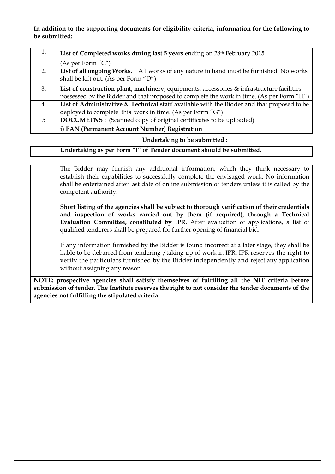#### **In addition to the supporting documents for eligibility criteria, information for the following to be submitted:**

| 1. | List of Completed works during last 5 years ending on 28th February 2015                   |
|----|--------------------------------------------------------------------------------------------|
|    | (As per Form "C")                                                                          |
| 2. | List of all ongoing Works. All works of any nature in hand must be furnished. No works     |
|    | shall be left out. (As per Form "D")                                                       |
| 3. | List of construction plant, machinery, equipments, accessories & infrastructure facilities |
|    | possessed by the Bidder and that proposed to complete the work in time. (As per Form "H")  |
| 4. | List of Administrative & Technical staff available with the Bidder and that proposed to be |
|    | deployed to complete this work in time. (As per Form " $G$ ")                              |
| 5  | <b>DOCUMETNS:</b> (Scanned copy of original certificates to be uploaded)                   |
|    | i) PAN (Permanent Account Number) Registration                                             |

#### **Undertaking to be submitted :**

| Undertaking as per Form "I" of Tender document should be submitted. |  |
|---------------------------------------------------------------------|--|
|---------------------------------------------------------------------|--|

The Bidder may furnish any additional information, which they think necessary to establish their capabilities to successfully complete the envisaged work. No information shall be entertained after last date of online submission of tenders unless it is called by the competent authority.

**Short listing of the agencies shall be subject to thorough verification of their credentials and inspection of works carried out by them (if required), through a Technical Evaluation Committee, constituted by IPR**. After evaluation of applications, a list of qualified tenderers shall be prepared for further opening of financial bid.

If any information furnished by the Bidder is found incorrect at a later stage, they shall be liable to be debarred from tendering /taking up of work in IPR. IPR reserves the right to verify the particulars furnished by the Bidder independently and reject any application without assigning any reason.

**NOTE: prospective agencies shall satisfy themselves of fulfilling all the NIT criteria before submission of tender. The Institute reserves the right to not consider the tender documents of the agencies not fulfilling the stipulated criteria.**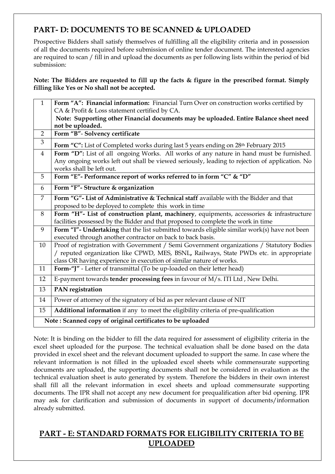### **PART- D: DOCUMENTS TO BE SCANNED & UPLOADED**

Prospective Bidders shall satisfy themselves of fulfilling all the eligibility criteria and in possession of all the documents required before submission of online tender document. The interested agencies are required to scan / fill in and upload the documents as per following lists within the period of bid submission:

**Note: The Bidders are requested to fill up the facts & figure in the prescribed format. Simply filling like Yes or No shall not be accepted.**

| $\mathbf{1}$   | Form "A": Financial information: Financial Turn Over on construction works certified by                                   |
|----------------|---------------------------------------------------------------------------------------------------------------------------|
|                | CA & Profit & Loss statement certified by CA.                                                                             |
|                | Note: Supporting other Financial documents may be uploaded. Entire Balance sheet need                                     |
|                | not be uploaded.                                                                                                          |
| $\overline{2}$ | Form "B"- Solvency certificate                                                                                            |
| 3              | Form "C": List of Completed works during last 5 years ending on 28th February 2015                                        |
| $\overline{4}$ | Form "D": List of all ongoing Works. All works of any nature in hand must be furnished.                                   |
|                | Any ongoing works left out shall be viewed seriously, leading to rejection of application. No<br>works shall be left out. |
| 5              | Form "E"- Performance report of works referred to in form "C" & "D"                                                       |
| 6              | Form "F"- Structure & organization                                                                                        |
| $\overline{7}$ | Form "G"- List of Administrative & Technical staff available with the Bidder and that                                     |
|                | proposed to be deployed to complete this work in time                                                                     |
| 8              | Form "H"- List of construction plant, machinery, equipments, accessories & infrastructure                                 |
|                | facilities possessed by the Bidder and that proposed to complete the work in time                                         |
| 9              | Form "I"- Undertaking that the list submitted towards eligible similar work(s) have not been                              |
|                | executed through another contractor on back to back basis.                                                                |
| 10             | Proof of registration with Government / Semi Government organizations / Statutory Bodies                                  |
|                | / reputed organization like CPWD, MES, BSNL, Railways, State PWDs etc. in appropriate                                     |
|                | class OR having experience in execution of similar nature of works.                                                       |
| 11             | Form-"J" - Letter of transmittal (To be up-loaded on their letter head)                                                   |
| 12             | E-payment towards tender processing fees in favour of M/s. ITI Ltd, New Delhi.                                            |
| 13             | PAN registration                                                                                                          |
| 14             | Power of attorney of the signatory of bid as per relevant clause of NIT                                                   |
| 15             | Additional information if any to meet the eligibility criteria of pre-qualification                                       |
|                | Note: Scanned copy of original certificates to be uploaded                                                                |

Note: It is binding on the bidder to fill the data required for assessment of eligibility criteria in the excel sheet uploaded for the purpose. The technical evaluation shall be done based on the data provided in excel sheet and the relevant document uploaded to support the same. In case where the relevant information is not filled in the uploaded excel sheets while commensurate supporting documents are uploaded, the supporting documents shall not be considered in evaluation as the technical evaluation sheet is auto generated by system. Therefore the bidders in their own interest shall fill all the relevant information in excel sheets and upload commensurate supporting documents. The IPR shall not accept any new document for prequalification after bid opening. IPR may ask for clarification and submission of documents in support of documents/information already submitted.

### **PART - E: STANDARD FORMATS FOR ELIGIBILITY CRITERIA TO BE UPLOADED**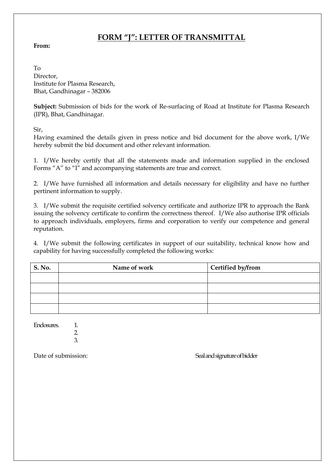### **FORM "J": LETTER OF TRANSMITTAL**

#### **From:**

To Director, Institute for Plasma Research, Bhat, Gandhinagar – 382006

**Subject:** Submission of bids for the work of Re-surfacing of Road at Institute for Plasma Research (IPR), Bhat, Gandhinagar.

Sir,

Having examined the details given in press notice and bid document for the above work, I/We hereby submit the bid document and other relevant information.

1. I/We hereby certify that all the statements made and information supplied in the enclosed Forms "A" to "I" and accompanying statements are true and correct.

2. I/We have furnished all information and details necessary for eligibility and have no further pertinent information to supply.

3. I/We submit the requisite certified solvency certificate and authorize IPR to approach the Bank issuing the solvency certificate to confirm the correctness thereof. I/We also authorise IPR officials to approach individuals, employers, firms and corporation to verify our competence and general reputation.

4. I/We submit the following certificates in support of our suitability, technical know how and capability for having successfully completed the following works:

| <b>S. No.</b> | Name of work | Certified by/from |  |
|---------------|--------------|-------------------|--|
|               |              |                   |  |
|               |              |                   |  |
|               |              |                   |  |
|               |              |                   |  |

Enclosures. 1.

2. 3.

Date of submission: Seal and signature of bidder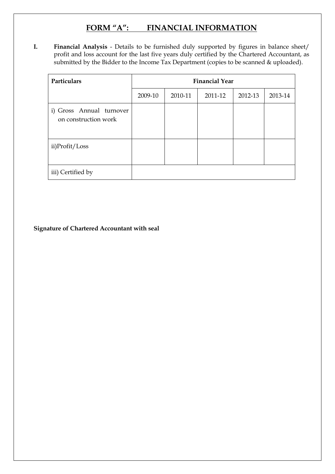### **FORM "A": FINANCIAL INFORMATION**

**I. Financial Analysis** - Details to be furnished duly supported by figures in balance sheet/ profit and loss account for the last five years duly certified by the Chartered Accountant, as submitted by the Bidder to the Income Tax Department (copies to be scanned & uploaded).

| Particulars                                      | <b>Financial Year</b> |         |         |         |         |
|--------------------------------------------------|-----------------------|---------|---------|---------|---------|
|                                                  | 2009-10               | 2010-11 | 2011-12 | 2012-13 | 2013-14 |
| i) Gross Annual turnover<br>on construction work |                       |         |         |         |         |
| ii)Profit/Loss                                   |                       |         |         |         |         |
| iii) Certified by                                |                       |         |         |         |         |

**Signature of Chartered Accountant with seal**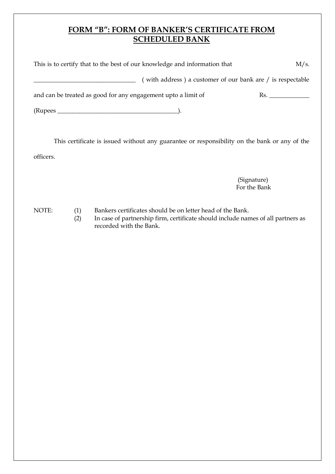### **FORM "B": FORM OF BANKER'S CERTIFICATE FROM SCHEDULED BANK**

| This is to certify that to the best of our knowledge and information that<br>M/s. |                                                            |  |
|-----------------------------------------------------------------------------------|------------------------------------------------------------|--|
|                                                                                   | (with address) a customer of our bank are / is respectable |  |
| and can be treated as good for any engagement upto a limit of                     |                                                            |  |
|                                                                                   |                                                            |  |
|                                                                                   |                                                            |  |

This certificate is issued without any guarantee or responsibility on the bank or any of the officers.

> (Signature) For the Bank

- NOTE: (1) Bankers certificates should be on letter head of the Bank.
	- (2) In case of partnership firm, certificate should include names of all partners as recorded with the Bank.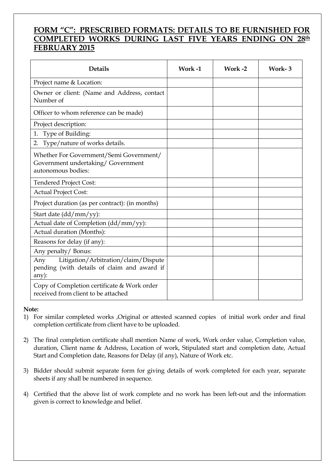### **FORM "C": PRESCRIBED FORMATS: DETAILS TO BE FURNISHED FOR COMPLETED WORKS DURING LAST FIVE YEARS ENDING ON 28th FEBRUARY 2015**

| <b>Details</b>                                                                                         | Work -1 | Work -2 | Work-3 |
|--------------------------------------------------------------------------------------------------------|---------|---------|--------|
| Project name & Location:                                                                               |         |         |        |
| Owner or client: (Name and Address, contact<br>Number of                                               |         |         |        |
| Officer to whom reference can be made)                                                                 |         |         |        |
| Project description:                                                                                   |         |         |        |
| 1. Type of Building:                                                                                   |         |         |        |
| 2. Type/nature of works details.                                                                       |         |         |        |
| Whether For Government/Semi Government/<br>Government undertaking/ Government<br>autonomous bodies:    |         |         |        |
| <b>Tendered Project Cost:</b>                                                                          |         |         |        |
| <b>Actual Project Cost:</b>                                                                            |         |         |        |
| Project duration (as per contract): (in months)                                                        |         |         |        |
| Start date (dd/mm/yy):                                                                                 |         |         |        |
| Actual date of Completion (dd/mm/yy):                                                                  |         |         |        |
| Actual duration (Months):                                                                              |         |         |        |
| Reasons for delay (if any):                                                                            |         |         |        |
| Any penalty/ Bonus:                                                                                    |         |         |        |
| Litigation/Arbitration/claim/Dispute<br>Any<br>pending (with details of claim and award if<br>$any)$ : |         |         |        |
| Copy of Completion certificate & Work order<br>received from client to be attached                     |         |         |        |

#### **Note:**

- 1) For similar completed works ,Original or attested scanned copies of initial work order and final completion certificate from client have to be uploaded.
- 2) The final completion certificate shall mention Name of work, Work order value, Completion value, duration, Client name & Address, Location of work, Stipulated start and completion date, Actual Start and Completion date, Reasons for Delay (if any), Nature of Work etc.
- 3) Bidder should submit separate form for giving details of work completed for each year, separate sheets if any shall be numbered in sequence.
- 4) Certified that the above list of work complete and no work has been left-out and the information given is correct to knowledge and belief.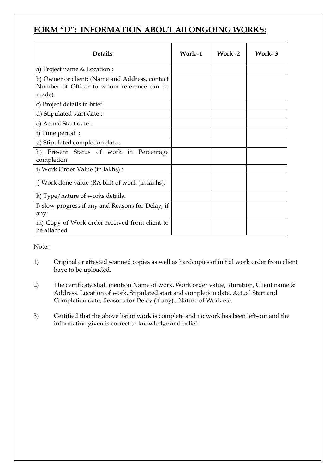### **FORM "D": INFORMATION ABOUT All ONGOING WORKS:**

| <b>Details</b>                                                                                         | Work-1 | Work -2 | Work-3 |
|--------------------------------------------------------------------------------------------------------|--------|---------|--------|
| a) Project name & Location :                                                                           |        |         |        |
| b) Owner or client: (Name and Address, contact<br>Number of Officer to whom reference can be<br>made): |        |         |        |
| c) Project details in brief:                                                                           |        |         |        |
| d) Stipulated start date:                                                                              |        |         |        |
| e) Actual Start date:                                                                                  |        |         |        |
| f) Time period:                                                                                        |        |         |        |
| g) Stipulated completion date:                                                                         |        |         |        |
| Present Status of work in Percentage<br>h)<br>completion:                                              |        |         |        |
| i) Work Order Value (in lakhs) :                                                                       |        |         |        |
| j) Work done value (RA bill) of work (in lakhs):                                                       |        |         |        |
| k) Type/nature of works details.                                                                       |        |         |        |
| I) slow progress if any and Reasons for Delay, if<br>any:                                              |        |         |        |
| m) Copy of Work order received from client to<br>be attached                                           |        |         |        |

Note:

- 1) Original or attested scanned copies as well as hardcopies of initial work order from client have to be uploaded.
- 2) The certificate shall mention Name of work, Work order value, duration, Client name & Address, Location of work, Stipulated start and completion date, Actual Start and Completion date, Reasons for Delay (if any) , Nature of Work etc.
- 3) Certified that the above list of work is complete and no work has been left-out and the information given is correct to knowledge and belief.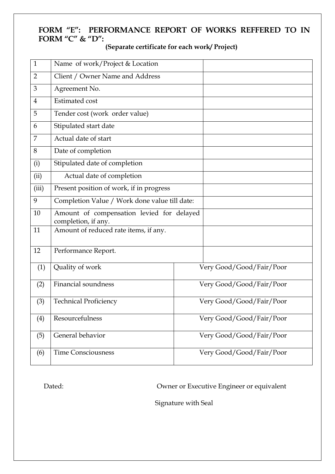### **FORM "E": PERFORMANCE REPORT OF WORKS REFFERED TO IN FORM "C" & "D":**

| $\mathbf{1}$   | Name of work/Project & Location                                  |                          |                          |  |  |
|----------------|------------------------------------------------------------------|--------------------------|--------------------------|--|--|
| $\overline{2}$ | Client / Owner Name and Address                                  |                          |                          |  |  |
| 3              | Agreement No.                                                    |                          |                          |  |  |
| $\overline{4}$ | <b>Estimated</b> cost                                            |                          |                          |  |  |
| 5              | Tender cost (work order value)                                   |                          |                          |  |  |
| 6              | Stipulated start date                                            |                          |                          |  |  |
| 7              | Actual date of start                                             |                          |                          |  |  |
| 8              | Date of completion                                               |                          |                          |  |  |
| (i)            | Stipulated date of completion                                    |                          |                          |  |  |
| (ii)           | Actual date of completion                                        |                          |                          |  |  |
| (iii)          | Present position of work, if in progress                         |                          |                          |  |  |
| 9              | Completion Value / Work done value till date:                    |                          |                          |  |  |
| 10             | Amount of compensation levied for delayed<br>completion, if any. |                          |                          |  |  |
| 11             | Amount of reduced rate items, if any.                            |                          |                          |  |  |
| 12             | Performance Report.                                              |                          |                          |  |  |
| (1)            | Quality of work                                                  |                          | Very Good/Good/Fair/Poor |  |  |
| (2)            | <b>Financial soundness</b>                                       |                          | Very Good/Good/Fair/Poor |  |  |
| (3)            | <b>Technical Proficiency</b>                                     |                          | Very Good/Good/Fair/Poor |  |  |
| (4)            | Resourcefulness                                                  | Very Good/Good/Fair/Poor |                          |  |  |
| (5)            | General behavior                                                 | Very Good/Good/Fair/Poor |                          |  |  |
| (6)            | <b>Time Consciousness</b>                                        |                          | Very Good/Good/Fair/Poor |  |  |

**(Separate certificate for each work/ Project)**

Dated: Owner or Executive Engineer or equivalent

Signature with Seal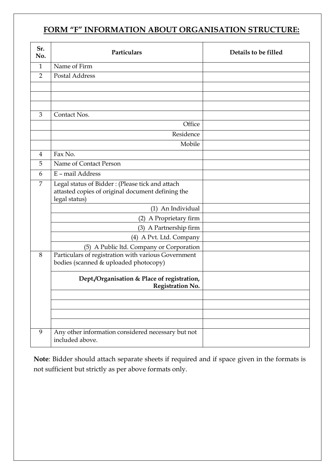# **FORM "F" INFORMATION ABOUT ORGANISATION STRUCTURE:**

| Sr.<br>No.     | Particulars                                                                                                           | Details to be filled |
|----------------|-----------------------------------------------------------------------------------------------------------------------|----------------------|
| $\mathbf{1}$   | Name of Firm                                                                                                          |                      |
| $\overline{2}$ | <b>Postal Address</b>                                                                                                 |                      |
|                |                                                                                                                       |                      |
|                |                                                                                                                       |                      |
|                |                                                                                                                       |                      |
| 3              | Contact Nos.                                                                                                          |                      |
|                | Office                                                                                                                |                      |
|                | Residence                                                                                                             |                      |
|                | Mobile                                                                                                                |                      |
| $\overline{4}$ | Fax No.                                                                                                               |                      |
| 5              | Name of Contact Person                                                                                                |                      |
| 6              | E - mail Address                                                                                                      |                      |
| 7              | Legal status of Bidder: (Please tick and attach<br>attasted copies of original document defining the<br>legal status) |                      |
|                | (1) An Individual                                                                                                     |                      |
|                | (2) A Proprietary firm                                                                                                |                      |
|                | (3) A Partnership firm                                                                                                |                      |
|                | (4) A Pvt. Ltd. Company                                                                                               |                      |
|                | (5) A Public ltd. Company or Corporation                                                                              |                      |
| 8              | Particulars of registration with various Government<br>bodies (scanned & uploaded photocopy)                          |                      |
|                | Dept./Organisation & Place of registration,<br><b>Registration No.</b>                                                |                      |
|                |                                                                                                                       |                      |
|                |                                                                                                                       |                      |
|                |                                                                                                                       |                      |
|                |                                                                                                                       |                      |
| 9              | Any other information considered necessary but not<br>included above.                                                 |                      |

**Note**: Bidder should attach separate sheets if required and if space given in the formats is not sufficient but strictly as per above formats only.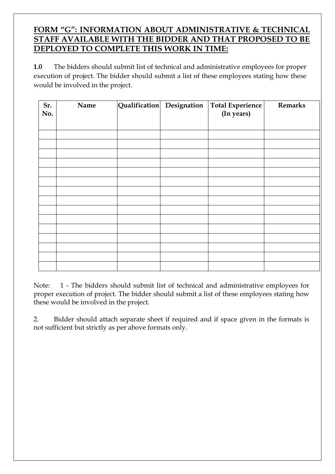### **FORM "G": INFORMATION ABOUT ADMINISTRATIVE & TECHNICAL STAFF AVAILABLE WITH THE BIDDER AND THAT PROPOSED TO BE DEPLOYED TO COMPLETE THIS WORK IN TIME:**

**1.0** The bidders should submit list of technical and administrative employees for proper execution of project. The bidder should submit a list of these employees stating how these would be involved in the project.

| Sr.<br>No. | Name |  | Qualification Designation   Total Experience  <br>(In years) | <b>Remarks</b> |
|------------|------|--|--------------------------------------------------------------|----------------|
|            |      |  |                                                              |                |
|            |      |  |                                                              |                |
|            |      |  |                                                              |                |
|            |      |  |                                                              |                |
|            |      |  |                                                              |                |
|            |      |  |                                                              |                |
|            |      |  |                                                              |                |
|            |      |  |                                                              |                |
|            |      |  |                                                              |                |
|            |      |  |                                                              |                |

Note: 1 - The bidders should submit list of technical and administrative employees for proper execution of project. The bidder should submit a list of these employees stating how these would be involved in the project.

2. Bidder should attach separate sheet if required and if space given in the formats is not sufficient but strictly as per above formats only.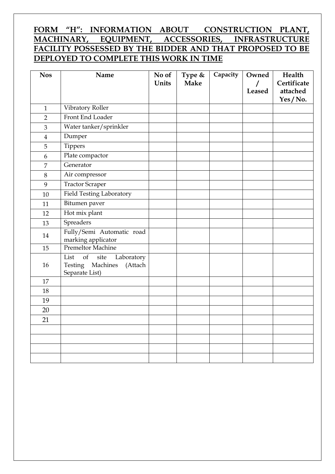### **FORM "H": INFORMATION ABOUT CONSTRUCTION PLANT, MACHINARY, EQUIPMENT, ACCESSORIES, INFRASTRUCTURE FACILITY POSSESSED BY THE BIDDER AND THAT PROPOSED TO BE DEPLOYED TO COMPLETE THIS WORK IN TIME**

| <b>Nos</b>     | Name                                                            | No of | Type &      | Capacity | Owned              | Health                  |
|----------------|-----------------------------------------------------------------|-------|-------------|----------|--------------------|-------------------------|
|                |                                                                 | Units | <b>Make</b> |          | $\prime$<br>Leased | Certificate<br>attached |
|                |                                                                 |       |             |          |                    | Yes/No.                 |
| $\mathbf{1}$   | Vibratory Roller                                                |       |             |          |                    |                         |
| $\overline{2}$ | Front End Loader                                                |       |             |          |                    |                         |
| 3              | Water tanker/sprinkler                                          |       |             |          |                    |                         |
| $\overline{4}$ | Dumper                                                          |       |             |          |                    |                         |
| 5              | Tippers                                                         |       |             |          |                    |                         |
| 6              | Plate compactor                                                 |       |             |          |                    |                         |
| $\overline{7}$ | Generator                                                       |       |             |          |                    |                         |
| 8              | Air compressor                                                  |       |             |          |                    |                         |
| 9              | Tractor Scraper                                                 |       |             |          |                    |                         |
| 10             | <b>Field Testing Laboratory</b>                                 |       |             |          |                    |                         |
| 11             | Bitumen paver                                                   |       |             |          |                    |                         |
| 12             | Hot mix plant                                                   |       |             |          |                    |                         |
| 13             | Spreaders                                                       |       |             |          |                    |                         |
| 14             | Fully/Semi Automatic road                                       |       |             |          |                    |                         |
|                | marking applicator                                              |       |             |          |                    |                         |
| 15             | <b>Premeltor Machine</b>                                        |       |             |          |                    |                         |
| 16             | site<br>List<br>of<br>Laboratory<br>Testing Machines<br>(Attach |       |             |          |                    |                         |
|                | Separate List)                                                  |       |             |          |                    |                         |
| 17             |                                                                 |       |             |          |                    |                         |
| 18             |                                                                 |       |             |          |                    |                         |
| 19             |                                                                 |       |             |          |                    |                         |
| 20             |                                                                 |       |             |          |                    |                         |
| 21             |                                                                 |       |             |          |                    |                         |
|                |                                                                 |       |             |          |                    |                         |
|                |                                                                 |       |             |          |                    |                         |
|                |                                                                 |       |             |          |                    |                         |
|                |                                                                 |       |             |          |                    |                         |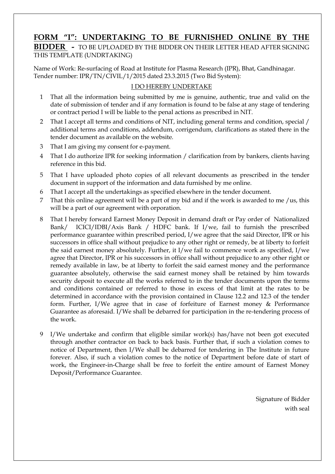### **FORM "I": UNDERTAKING TO BE FURNISHED ONLINE BY THE**

#### **BIDDER -** TO BE UPLOADED BY THE BIDDER ON THEIR LETTER HEAD AFTER SIGNING THIS TEMPLATE (UNDRTAKING)

Name of Work: Re-surfacing of Road at Institute for Plasma Research (IPR), Bhat, Gandhinagar. Tender number: IPR/TN/CIVIL/1/2015 dated 23.3.2015 (Two Bid System):

#### I DO HEREBY UNDERTAKE

- 1 That all the information being submitted by me is genuine, authentic, true and valid on the date of submission of tender and if any formation is found to be false at any stage of tendering or contract period I will be liable to the penal actions as prescribed in NIT.
- 2 That I accept all terms and conditions of NIT, including general terms and condition, special / additional terms and conditions, addendum, corrigendum, clarifications as stated there in the tender document as available on the website.
- 3 That I am giving my consent for e-payment.
- 4 That I do authorize IPR for seeking information / clarification from by bankers, clients having reference in this bid.
- 5 That I have uploaded photo copies of all relevant documents as prescribed in the tender document in support of the information and data furnished by me online.
- 6 That I accept all the undertakings as specified elsewhere in the tender document.
- 7 That this online agreement will be a part of my bid and if the work is awarded to me /us, this will be a part of our agreement with orporation.
- 8 That I hereby forward Earnest Money Deposit in demand draft or Pay order of Nationalized Bank/ ICICI/IDBI/Axis Bank / HDFC bank. If I/we, fail to furnish the prescribed performance guarantee within prescribed period, I/we agree that the said Director, IPR or his successors in office shall without prejudice to any other right or remedy, be at liberty to forfeit the said earnest money absolutely. Further, it I/we fail to commence work as specified, I/we agree that Director, IPR or his successors in office shall without prejudice to any other right or remedy available in law, be at liberty to forfeit the said earnest money and the performance guarantee absolutely, otherwise the said earnest money shall be retained by him towards security deposit to execute all the works referred to in the tender documents upon the terms and conditions contained or referred to those in excess of that limit at the rates to be determined in accordance with the provision contained in Clause 12.2 and 12.3 of the tender form. Further, I/We agree that in case of forfeiture of Earnest money & Performance Guarantee as aforesaid. I/We shall be debarred for participation in the re-tendering process of the work.
- 9 I/We undertake and confirm that eligible similar work(s) has/have not been got executed through another contractor on back to back basis. Further that, if such a violation comes to notice of Department, then I/We shall be debarred for tendering in The Institute in future forever. Also, if such a violation comes to the notice of Department before date of start of work, the Engineer-in-Charge shall be free to forfeit the entire amount of Earnest Money Deposit/Performance Guarantee.

Signature of Bidder with seal